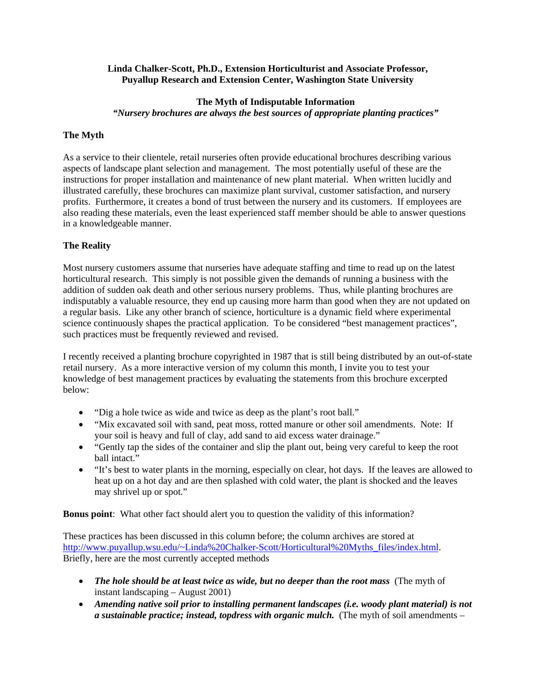### **Linda Chalker-Scott, Ph.D., Extension Horticulturist and Associate Professor, Puyallup Research and Extension Center, Washington State University**

#### **The Myth of Indisputable Information**

*"Nursery brochures are always the best sources of appropriate planting practices"* 

# **The Myth**

As a service to their clientele, retail nurseries often provide educational brochures describing various aspects of landscape plant selection and management. The most potentially useful of these are the instructions for proper installation and maintenance of new plant material. When written lucidly and illustrated carefully, these brochures can maximize plant survival, customer satisfaction, and nursery profits. Furthermore, it creates a bond of trust between the nursery and its customers. If employees are also reading these materials, even the least experienced staff member should be able to answer questions in a knowledgeable manner.

# **The Reality**

Most nursery customers assume that nurseries have adequate staffing and time to read up on the latest horticultural research. This simply is not possible given the demands of running a business with the addition of sudden oak death and other serious nursery problems. Thus, while planting brochures are indisputably a valuable resource, they end up causing more harm than good when they are not updated on a regular basis. Like any other branch of science, horticulture is a dynamic field where experimental science continuously shapes the practical application. To be considered "best management practices", such practices must be frequently reviewed and revised.

I recently received a planting brochure copyrighted in 1987 that is still being distributed by an out-of-state retail nursery. As a more interactive version of my column this month, I invite you to test your knowledge of best management practices by evaluating the statements from this brochure excerpted below:

- "Dig a hole twice as wide and twice as deep as the plant's root ball."
- "Mix excavated soil with sand, peat moss, rotted manure or other soil amendments. Note: If your soil is heavy and full of clay, add sand to aid excess water drainage."
- "Gently tap the sides of the container and slip the plant out, being very careful to keep the root ball intact."
- "It's best to water plants in the morning, especially on clear, hot days. If the leaves are allowed to heat up on a hot day and are then splashed with cold water, the plant is shocked and the leaves may shrivel up or spot."

**Bonus point**: What other fact should alert you to question the validity of this information?

These practices has been discussed in this column before; the column archives are stored at http://www.puyallup.wsu.edu/~Linda%20Chalker-Scott/Horticultural%20Myths\_files/index.html. Briefly, here are the most currently accepted methods

- The hole should be at least twice as wide, but no deeper than the root mass (The myth of instant landscaping – August 2001)
- *Amending native soil prior to installing permanent landscapes (i.e. woody plant material) is not a sustainable practice; instead, topdress with organic mulch.* (The myth of soil amendments –